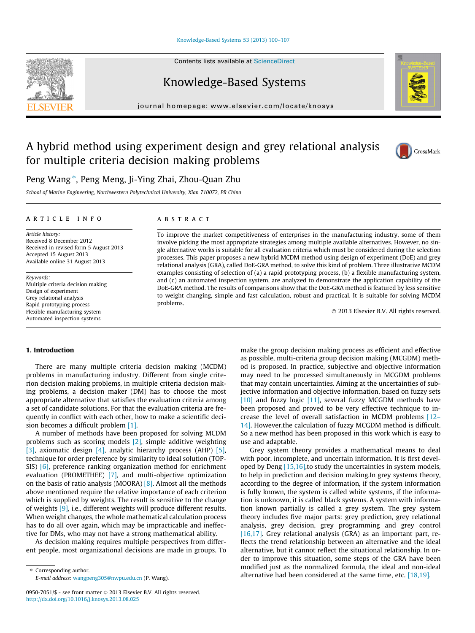#### [Knowledge-Based Systems 53 \(2013\) 100–107](http://dx.doi.org/10.1016/j.knosys.2013.08.025)

Contents lists available at [ScienceDirect](http://www.sciencedirect.com/science/journal/09507051)

Knowledge-Based Systems

journal homepage: [www.elsevier.com/locate/knosys](http://www.elsevier.com/locate/knosys)

# A hybrid method using experiment design and grey relational analysis for multiple criteria decision making problems

Peng Wang  $^*$ , Peng Meng, Ji-Ying Zhai, Zhou-Quan Zhu

School of Marine Engineering, Northwestern Polytechnical University, Xian 710072, PR China

#### article info

Article history: Received 8 December 2012 Received in revised form 5 August 2013 Accepted 15 August 2013 Available online 31 August 2013

Keywords: Multiple criteria decision making Design of experiment Grey relational analysis Rapid prototyping process Flexible manufacturing system Automated inspection systems

## ABSTRACT

To improve the market competitiveness of enterprises in the manufacturing industry, some of them involve picking the most appropriate strategies among multiple available alternatives. However, no single alternative works is suitable for all evaluation criteria which must be considered during the selection processes. This paper proposes a new hybrid MCDM method using design of experiment (DoE) and grey relational analysis (GRA), called DoE-GRA method, to solve this kind of problem. Three illustrative MCDM examples consisting of selection of (a) a rapid prototyping process, (b) a flexible manufacturing system, and (c) an automated inspection system, are analyzed to demonstrate the application capability of the DoE-GRA method. The results of comparisons show that the DoE-GRA method is featured by less sensitive to weight changing, simple and fast calculation, robust and practical. It is suitable for solving MCDM problems.

- 2013 Elsevier B.V. All rights reserved.

#### 1. Introduction

There are many multiple criteria decision making (MCDM) problems in manufacturing industry. Different from single criterion decision making problems, in multiple criteria decision making problems, a decision maker (DM) has to choose the most appropriate alternative that satisfies the evaluation criteria among a set of candidate solutions. For that the evaluation criteria are frequently in conflict with each other, how to make a scientific decision becomes a difficult problem [\[1\].](#page--1-0)

A number of methods have been proposed for solving MCDM problems such as scoring models [\[2\]](#page--1-0), simple additive weighting [\[3\]](#page--1-0), axiomatic design [\[4\]](#page--1-0), analytic hierarchy process (AHP) [\[5\],](#page--1-0) technique for order preference by similarity to ideal solution (TOP-SIS) [\[6\]](#page--1-0), preference ranking organization method for enrichment evaluation (PROMETHEE) [\[7\],](#page--1-0) and multi-objective optimization on the basis of ratio analysis (MOORA) [\[8\]](#page--1-0). Almost all the methods above mentioned require the relative importance of each criterion which is supplied by weights. The result is sensitive to the change of weights [\[9\]](#page--1-0), i.e., different weights will produce different results. When weight changes, the whole mathematical calculation process has to do all over again, which may be impracticable and ineffective for DMs, who may not have a strong mathematical ability.

As decision making requires multiple perspectives from different people, most organizational decisions are made in groups. To

⇑ Corresponding author. E-mail address: [wangpeng305@nwpu.edu.cn](mailto:wangpeng305@nwpu.edu.cn) (P. Wang). make the group decision making process as efficient and effective as possible, multi-criteria group decision making (MCGDM) method is proposed. In practice, subjective and objective information may need to be processed simultaneously in MCGDM problems that may contain uncertainties. Aiming at the uncertainties of subjective information and objective information, based on fuzzy sets [\[10\]](#page--1-0) and fuzzy logic [\[11\],](#page--1-0) several fuzzy MCGDM methods have been proposed and proved to be very effective technique to increase the level of overall satisfaction in MCDM problems [\[12–](#page--1-0) [14\]](#page--1-0). However,the calculation of fuzzy MCGDM method is difficult. So a new method has been proposed in this work which is easy to use and adaptable.

Grey system theory provides a mathematical means to deal with poor, incomplete, and uncertain information. It is first developed by Deng [\[15,16\],](#page--1-0)to study the uncertainties in system models, to help in prediction and decision making.In grey systems theory, according to the degree of information, if the system information is fully known, the system is called white systems, if the information is unknown, it is called black systems. A system with information known partially is called a grey system. The grey system theory includes five major parts: grey prediction, grey relational analysis, grey decision, grey programming and grey control [\[16,17\].](#page--1-0) Grey relational analysis (GRA) as an important part, reflects the trend relationship between an alternative and the ideal alternative, but it cannot reflect the situational relationship. In order to improve this situation, some steps of the GRA have been modified just as the normalized formula, the ideal and non-ideal alternative had been considered at the same time, etc. [\[18,19\]](#page--1-0).







<sup>0950-7051/\$ -</sup> see front matter © 2013 Elsevier B.V. All rights reserved. <http://dx.doi.org/10.1016/j.knosys.2013.08.025>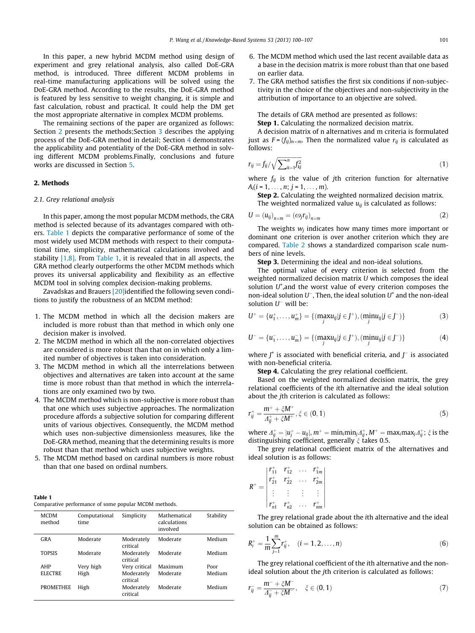In this paper, a new hybrid MCDM method using design of experiment and grey relational analysis, also called DoE-GRA method, is introduced. Three different MCDM problems in real-time manufacturing applications will be solved using the DoE-GRA method. According to the results, the DoE-GRA method is featured by less sensitive to weight changing, it is simple and fast calculation, robust and practical. It could help the DM get the most appropriate alternative in complex MCDM problems.

The remaining sections of the paper are organized as follows: Section 2 presents the methods;Section [3](#page--1-0) describes the applying process of the DoE-GRA method in detail; Section [4](#page--1-0) demonstrates the applicability and potentiality of the DoE-GRA method in solving different MCDM problems.Finally, conclusions and future works are discussed in Section [5.](#page--1-0)

### 2. Methods

#### 2.1. Grey relational analysis

In this paper, among the most popular MCDM methods, the GRA method is selected because of its advantages compared with others. Table 1 depicts the comparative performance of some of the most widely used MCDM methods with respect to their computational time, simplicity, mathematical calculations involved and stability  $[1,8]$ . From Table 1, it is revealed that in all aspects, the GRA method clearly outperforms the other MCDM methods which proves its universal applicability and flexibility as an effective MCDM tool in solving complex decision-making problems.

Zavadskas and Brauers [\[20\]](#page--1-0)identified the following seven conditions to justify the robustness of an MCDM method:

- 1. The MCDM method in which all the decision makers are included is more robust than that method in which only one decision maker is involved.
- 2. The MCDM method in which all the non-correlated objectives are considered is more robust than that on in which only a limited number of objectives is taken into consideration.
- 3. The MCDM method in which all the interrelations between objectives and alternatives are taken into account at the same time is more robust than that method in which the interrelations are only examined two by two.
- 4. The MCDM method which is non-subjective is more robust than that one which uses subjective approaches. The normalization procedure affords a subjective solution for comparing different units of various objectives. Consequently, the MCDM method which uses non-subjective dimensionless measures, like the DoE-GRA method, meaning that the determining results is more robust than that method which uses subjective weights.
- 5. The MCDM method based on cardinal numbers is more robust than that one based on ordinal numbers.

| Table 1 |                                                       |
|---------|-------------------------------------------------------|
|         | Comparative performance of some popular MCDM methods. |

| <b>MCDM</b><br>method | Computational<br>time | Simplicity             | Mathematical<br>calculations<br>involved | Stability |
|-----------------------|-----------------------|------------------------|------------------------------------------|-----------|
| GRA                   | Moderate              | Moderately<br>critical | Moderate                                 | Medium    |
| <b>TOPSIS</b>         | Moderate              | Moderately<br>critical | Moderate                                 | Medium    |
| AHP                   | Very high             | Very critical          | Maximum                                  | Poor      |
| <b>ELECTRE</b>        | High                  | Moderately<br>critical | Moderate                                 | Medium    |
| <b>PROMETHEE</b>      | High                  | Moderately<br>critical | Moderate                                 | Medium    |

- 6. The MCDM method which used the last recent available data as a base in the decision matrix is more robust than that one based on earlier data.
- 7. The GRA method satisfies the first six conditions if non-subjectivity in the choice of the objectives and non-subjectivity in the attribution of importance to an objective are solved.

The details of GRA method are presented as follows: Step 1. Calculating the normalized decision matrix.

A decision matrix of n alternatives and m criteria is formulated just as  $F$  =  $(f_{ij})_{n\times m}$ . Then the normalized value  $r_{ij}$  is calculated as follows:

$$
r_{ij} = f_{ij}/\sqrt{\sum_{k=1}^{n} f_{kj}^2}
$$
 (1)

where  $f_{ij}$  is the value of jth criterion function for alternative  $A_i(i = 1, \ldots, n; j = 1, \ldots, m).$ 

Step 2. Calculating the weighted normalized decision matrix. The weighted normalized value  $u_{ii}$  is calculated as follows:

$$
U = (u_{ij})_{n \times m} = (\omega_j r_{ij})_{n \times m}
$$
 (2)

The weights  $w_i$  indicates how many times more important or dominant one criterion is over another criterion which they are compared. [Table 2](#page--1-0) shows a standardized comparison scale numbers of nine levels.

Step 3. Determining the ideal and non-ideal solutions.

The optimal value of every criterion is selected from the weighted normalized decision matrix U which composes the ideal solution  $U^*$ , and the worst value of every criterion composes the non-ideal solution  $U^-$ , Then, the ideal solution  $U^+$  and the non-ideal solution  $U^-$  will be:

$$
U^{+} = \{u_{1}^{+}, \dots, u_{m}^{+}\} = \{(\max_{j} u_{ij} | j \in J^{+}), (\min_{j} u_{ij} | j \in J^{-})\}
$$
(3)

$$
U^{-} = \{u_{1}^{-}, \ldots, u_{m}^{-}\} = \{(\max_{j} u_{ij} | j \in J^{+}), (\min_{j} u_{ij} | j \in J^{-})\}
$$
(4)

where  $J^+$  is associated with beneficial criteria, and  $J^-$  is associated with non-beneficial criteria.

Step 4. Calculating the grey relational coefficient.

Based on the weighted normalized decision matrix, the grey relational coefficients of the ith alternative and the ideal solution about the jth criterion is calculated as follows:

$$
r_{ij}^{+} = \frac{m^{+} + \zeta M^{+}}{\Delta_{ij}^{+} + \zeta M^{+}}, \zeta \in (0, 1)
$$
\n(5)

where  $\varDelta_{ij}^+=|u_j^+-u_{ij}|,$   $m^+=\text{min}_i\text{min}_j\varDelta_{ij}^+$ ,  $M^+=\text{max}_i\text{max}_j\varDelta_{ij}^+$ ;  $\xi$  is the distinguishing coefficient, generally  $\xi$  takes 0.5.

The grey relational coefficient matrix of the alternatives and ideal solution is as follows:

$$
R^{+} = \begin{vmatrix} r_{11}^{+} & r_{12}^{+} & \cdots & r_{1m}^{+} \\ r_{21}^{+} & r_{22}^{+} & \cdots & r_{2m}^{+} \\ \vdots & \vdots & \vdots & \vdots \\ r_{n1}^{+} & r_{n2}^{+} & \cdots & r_{nm}^{+} \end{vmatrix}
$$

The grey relational grade about the ith alternative and the ideal solution can be obtained as follows:

$$
R_i^+ = \frac{1}{m} \sum_{j=1}^m r_{ij}^+, \quad (i = 1, 2, \dots, n)
$$
 (6)

The grey relational coefficient of the ith alternative and the nonideal solution about the jth criterion is calculated as follows:

$$
r_{ij}^- = \frac{m^- + \xi M^-}{\Delta_{ij}^- + \xi M^-}, \quad \xi \in (0, 1)
$$
\n(7)